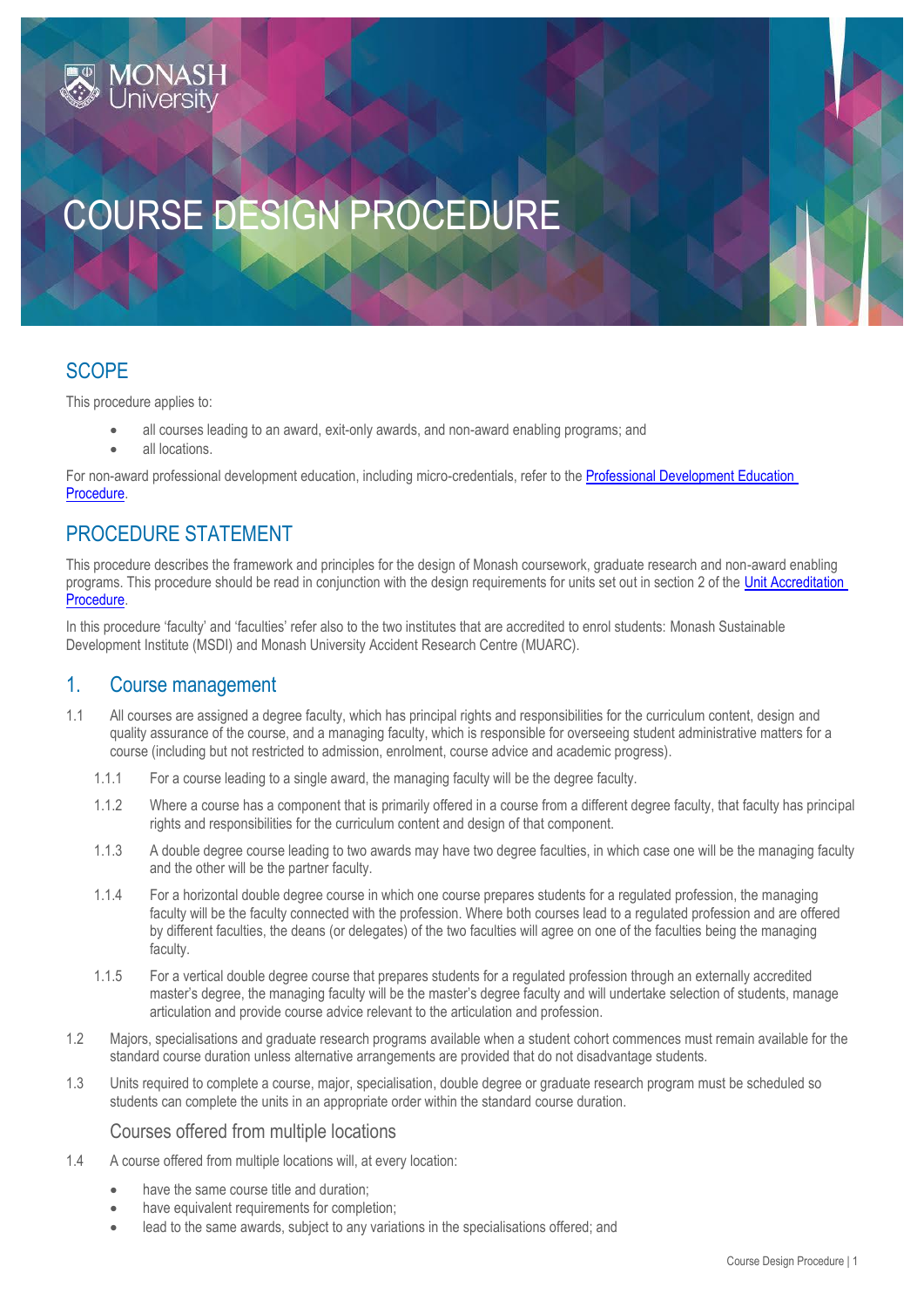# COURSE DESIGN PROCEDURE

## **SCOPE**

This procedure applies to:

- all courses leading to an award, exit-only awards, and non-award enabling programs; and
- all locations.

For non-award professional development education, including micro-credentials, refer to th[e Professional Development Education](https://publicpolicydms.monash.edu/Monash/documents/1935782)  [Procedure.](https://publicpolicydms.monash.edu/Monash/documents/1935782)

## PROCEDURE STATEMENT

This procedure describes the framework and principles for the design of Monash coursework, graduate research and non-award enabling programs. This procedure should be read in conjunction with the design requirements for units set out in section 2 of the Unit Accreditation [Procedure.](https://publicpolicydms.monash.edu/Monash/documents/1935769)

In this procedure 'faculty' and 'faculties' refer also to the two institutes that are accredited to enrol students: Monash Sustainable Development Institute (MSDI) and Monash University Accident Research Centre (MUARC).

## 1. Course management

- 1.1 All courses are assigned a degree faculty, which has principal rights and responsibilities for the curriculum content, design and quality assurance of the course, and a managing faculty, which is responsible for overseeing student administrative matters for a course (including but not restricted to admission, enrolment, course advice and academic progress).
	- 1.1.1 For a course leading to a single award, the managing faculty will be the degree faculty.
	- 1.1.2 Where a course has a component that is primarily offered in a course from a different degree faculty, that faculty has principal rights and responsibilities for the curriculum content and design of that component.
	- 1.1.3 A double degree course leading to two awards may have two degree faculties, in which case one will be the managing faculty and the other will be the partner faculty.
	- 1.1.4 For a horizontal double degree course in which one course prepares students for a regulated profession, the managing faculty will be the faculty connected with the profession. Where both courses lead to a regulated profession and are offered by different faculties, the deans (or delegates) of the two faculties will agree on one of the faculties being the managing faculty.
	- 1.1.5 For a vertical double degree course that prepares students for a regulated profession through an externally accredited master's degree, the managing faculty will be the master's degree faculty and will undertake selection of students, manage articulation and provide course advice relevant to the articulation and profession.
- 1.2 Majors, specialisations and graduate research programs available when a student cohort commences must remain available for the standard course duration unless alternative arrangements are provided that do not disadvantage students.
- 1.3 Units required to complete a course, major, specialisation, double degree or graduate research program must be scheduled so students can complete the units in an appropriate order within the standard course duration.

#### Courses offered from multiple locations

- 1.4 A course offered from multiple locations will, at every location:
	- have the same course title and duration;
	- have equivalent requirements for completion;
	- lead to the same awards, subject to any variations in the specialisations offered; and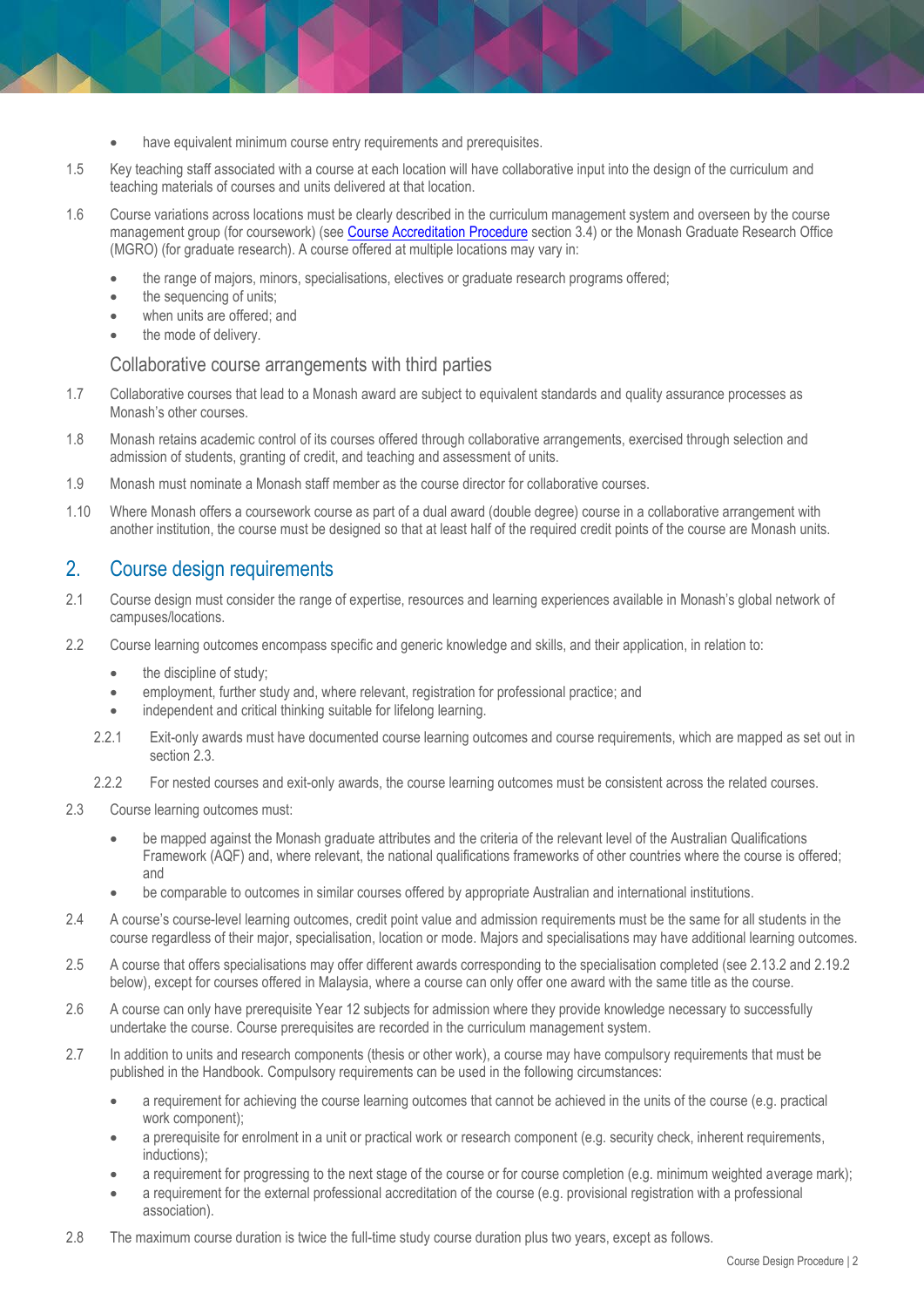- have equivalent minimum course entry requirements and prerequisites.
- 1.5 Key teaching staff associated with a course at each location will have collaborative input into the design of the curriculum and teaching materials of courses and units delivered at that location.
- 1.6 Course variations across locations must be clearly described in the curriculum management system and overseen by the course management group (for coursework) (see [Course Accreditation Procedure](https://publicpolicydms.monash.edu/Monash/documents/1935764) section 3.4) or the Monash Graduate Research Office (MGRO) (for graduate research). A course offered at multiple locations may vary in:
	- the range of majors, minors, specialisations, electives or graduate research programs offered;
	- the sequencing of units;
	- when units are offered; and
	- the mode of delivery.

#### Collaborative course arrangements with third parties

- 1.7 Collaborative courses that lead to a Monash award are subject to equivalent standards and quality assurance processes as Monash's other courses.
- 1.8 Monash retains academic control of its courses offered through collaborative arrangements, exercised through selection and admission of students, granting of credit, and teaching and assessment of units.
- 1.9 Monash must nominate a Monash staff member as the course director for collaborative courses.
- 1.10 Where Monash offers a coursework course as part of a dual award (double degree) course in a collaborative arrangement with another institution, the course must be designed so that at least half of the required credit points of the course are Monash units.

### 2. Course design requirements

- 2.1 Course design must consider the range of expertise, resources and learning experiences available in Monash's global network of campuses/locations.
- 2.2 Course learning outcomes encompass specific and generic knowledge and skills, and their application, in relation to:
	- the discipline of study;
	- employment, further study and, where relevant, registration for professional practice; and
	- independent and critical thinking suitable for lifelong learning.
	- 2.2.1 Exit-only awards must have documented course learning outcomes and course requirements, which are mapped as set out in section 2.3.
	- 2.2.2 For nested courses and exit-only awards, the course learning outcomes must be consistent across the related courses.
- 2.3 Course learning outcomes must:
	- be mapped against the Monash graduate attributes and the criteria of the relevant level of the Australian Qualifications Framework (AQF) and, where relevant, the national qualifications frameworks of other countries where the course is offered; and
	- be comparable to outcomes in similar courses offered by appropriate Australian and international institutions.
- 2.4 A course's course-level learning outcomes, credit point value and admission requirements must be the same for all students in the course regardless of their major, specialisation, location or mode. Majors and specialisations may have additional learning outcomes.
- 2.5 A course that offers specialisations may offer different awards corresponding to the specialisation completed (see 2.13.2 and 2.19.2 below), except for courses offered in Malaysia, where a course can only offer one award with the same title as the course.
- 2.6 A course can only have prerequisite Year 12 subjects for admission where they provide knowledge necessary to successfully undertake the course. Course prerequisites are recorded in the curriculum management system.
- 2.7 In addition to units and research components (thesis or other work), a course may have compulsory requirements that must be published in the Handbook. Compulsory requirements can be used in the following circumstances:
	- a requirement for achieving the course learning outcomes that cannot be achieved in the units of the course (e.g. practical work component);
	- a prerequisite for enrolment in a unit or practical work or research component (e.g. security check, inherent requirements, inductions);
	- a requirement for progressing to the next stage of the course or for course completion (e.g. minimum weighted average mark);
	- a requirement for the external professional accreditation of the course (e.g. provisional registration with a professional association).
- 2.8 The maximum course duration is twice the full-time study course duration plus two years, except as follows.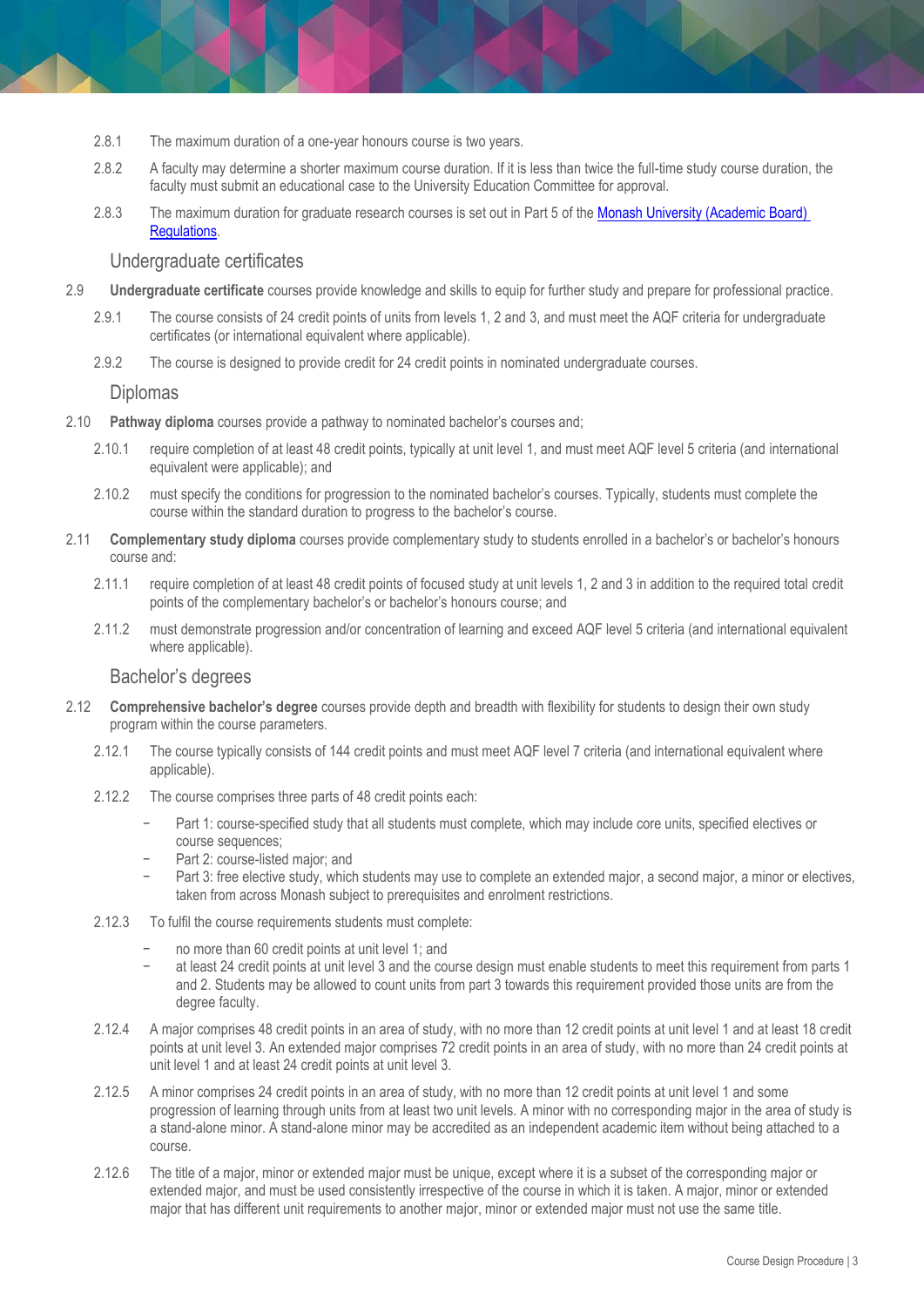- 2.8.1 The maximum duration of a one-year honours course is two years.
- 2.8.2 A faculty may determine a shorter maximum course duration. If it is less than twice the full-time study course duration, the faculty must submit an educational case to the University Education Committee for approval.
- 2.8.3 The maximum duration for graduate research courses is set out in Part 5 of the [Monash University \(Academic Board\)](https://www.monash.edu/legal/legislation/current)  [Regulations.](https://www.monash.edu/legal/legislation/current)

#### Undergraduate certificates

- 2.9 **Undergraduate certificate** courses provide knowledge and skills to equip for further study and prepare for professional practice.
	- 2.9.1 The course consists of 24 credit points of units from levels 1, 2 and 3, and must meet the AQF criteria for undergraduate certificates (or international equivalent where applicable).
	- 2.9.2 The course is designed to provide credit for 24 credit points in nominated undergraduate courses.

#### Diplomas

- 2.10 **Pathway diploma** courses provide a pathway to nominated bachelor's courses and;
	- 2.10.1 require completion of at least 48 credit points, typically at unit level 1, and must meet AQF level 5 criteria (and international equivalent were applicable); and
	- 2.10.2 must specify the conditions for progression to the nominated bachelor's courses. Typically, students must complete the course within the standard duration to progress to the bachelor's course.
- 2.11 **Complementary study diploma** courses provide complementary study to students enrolled in a bachelor's or bachelor's honours course and:
	- 2.11.1 require completion of at least 48 credit points of focused study at unit levels 1, 2 and 3 in addition to the required total credit points of the complementary bachelor's or bachelor's honours course; and
	- 2.11.2 must demonstrate progression and/or concentration of learning and exceed AQF level 5 criteria (and international equivalent where applicable).

#### Bachelor's degrees

- 2.12 **Comprehensive bachelor's degree** courses provide depth and breadth with flexibility for students to design their own study program within the course parameters.
	- 2.12.1 The course typically consists of 144 credit points and must meet AQF level 7 criteria (and international equivalent where applicable).
	- 2.12.2 The course comprises three parts of 48 credit points each:
		- Part 1: course-specified study that all students must complete, which may include core units, specified electives or course sequences;
		- − Part 2: course-listed major; and
		- Part 3: free elective study, which students may use to complete an extended major, a second major, a minor or electives, taken from across Monash subject to prerequisites and enrolment restrictions.
	- 2.12.3 To fulfil the course requirements students must complete:
		- no more than 60 credit points at unit level 1; and
		- at least 24 credit points at unit level 3 and the course design must enable students to meet this requirement from parts 1 and 2. Students may be allowed to count units from part 3 towards this requirement provided those units are from the degree faculty.
	- 2.12.4 A major comprises 48 credit points in an area of study, with no more than 12 credit points at unit level 1 and at least 18 credit points at unit level 3. An extended major comprises 72 credit points in an area of study, with no more than 24 credit points at unit level 1 and at least 24 credit points at unit level 3.
	- 2.12.5 A minor comprises 24 credit points in an area of study, with no more than 12 credit points at unit level 1 and some progression of learning through units from at least two unit levels. A minor with no corresponding major in the area of study is a stand-alone minor. A stand-alone minor may be accredited as an independent academic item without being attached to a course.
	- 2.12.6 The title of a major, minor or extended major must be unique, except where it is a subset of the corresponding major or extended major, and must be used consistently irrespective of the course in which it is taken. A major, minor or extended major that has different unit requirements to another major, minor or extended major must not use the same title.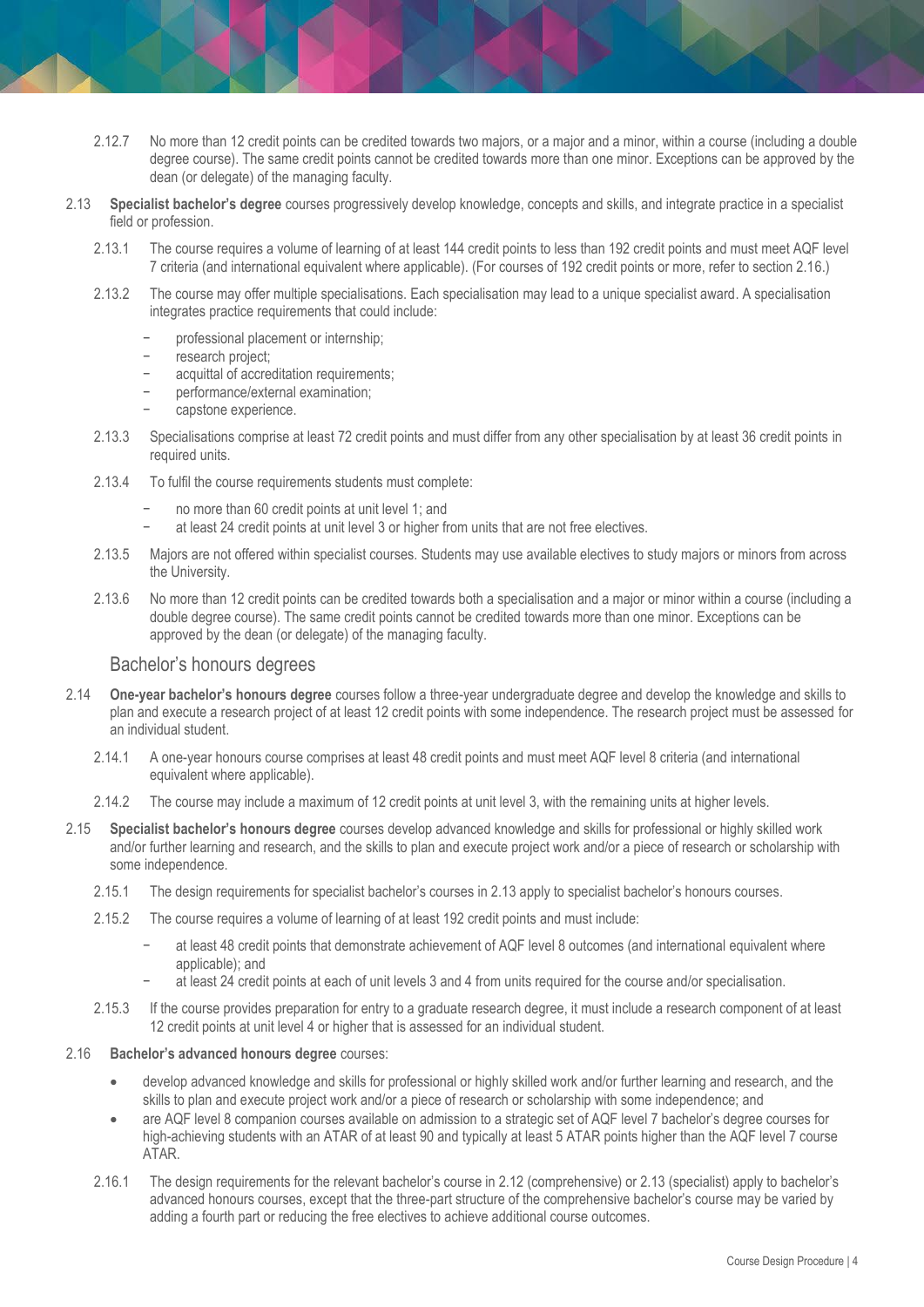- 2.12.7 No more than 12 credit points can be credited towards two majors, or a major and a minor, within a course (including a double degree course). The same credit points cannot be credited towards more than one minor. Exceptions can be approved by the dean (or delegate) of the managing faculty.
- 2.13 **Specialist bachelor's degree** courses progressively develop knowledge, concepts and skills, and integrate practice in a specialist field or profession.
	- 2.13.1 The course requires a volume of learning of at least 144 credit points to less than 192 credit points and must meet AQF level 7 criteria (and international equivalent where applicable). (For courses of 192 credit points or more, refer to section 2.16.)
	- 2.13.2 The course may offer multiple specialisations. Each specialisation may lead to a unique specialist award. A specialisation integrates practice requirements that could include:
		- professional placement or internship;
		- − research project;
		- acquittal of accreditation requirements;
		- performance/external examination;
		- capstone experience.
	- 2.13.3 Specialisations comprise at least 72 credit points and must differ from any other specialisation by at least 36 credit points in required units.
	- 2.13.4 To fulfil the course requirements students must complete:
		- no more than 60 credit points at unit level 1; and
		- at least 24 credit points at unit level 3 or higher from units that are not free electives.
	- 2.13.5 Majors are not offered within specialist courses. Students may use available electives to study majors or minors from across the University.
	- 2.13.6 No more than 12 credit points can be credited towards both a specialisation and a major or minor within a course (including a double degree course). The same credit points cannot be credited towards more than one minor. Exceptions can be approved by the dean (or delegate) of the managing faculty.

#### Bachelor's honours degrees

- 2.14 **One-year bachelor's honours degree** courses follow a three-year undergraduate degree and develop the knowledge and skills to plan and execute a research project of at least 12 credit points with some independence. The research project must be assessed for an individual student.
	- 2.14.1 A one-year honours course comprises at least 48 credit points and must meet AQF level 8 criteria (and international equivalent where applicable).
	- 2.14.2 The course may include a maximum of 12 credit points at unit level 3, with the remaining units at higher levels.
- 2.15 **Specialist bachelor's honours degree** courses develop advanced knowledge and skills for professional or highly skilled work and/or further learning and research, and the skills to plan and execute project work and/or a piece of research or scholarship with some independence.
	- 2.15.1 The design requirements for specialist bachelor's courses in 2.13 apply to specialist bachelor's honours courses.
	- 2.15.2 The course requires a volume of learning of at least 192 credit points and must include:
		- at least 48 credit points that demonstrate achievement of AQF level 8 outcomes (and international equivalent where applicable); and
			- − at least 24 credit points at each of unit levels 3 and 4 from units required for the course and/or specialisation.
	- 2.15.3 If the course provides preparation for entry to a graduate research degree, it must include a research component of at least 12 credit points at unit level 4 or higher that is assessed for an individual student.
- 2.16 **Bachelor's advanced honours degree** courses:
	- develop advanced knowledge and skills for professional or highly skilled work and/or further learning and research, and the skills to plan and execute project work and/or a piece of research or scholarship with some independence; and
	- are AQF level 8 companion courses available on admission to a strategic set of AQF level 7 bachelor's degree courses for high-achieving students with an ATAR of at least 90 and typically at least 5 ATAR points higher than the AQF level 7 course ATAR.
	- 2.16.1 The design requirements for the relevant bachelor's course in 2.12 (comprehensive) or 2.13 (specialist) apply to bachelor's advanced honours courses, except that the three-part structure of the comprehensive bachelor's course may be varied by adding a fourth part or reducing the free electives to achieve additional course outcomes.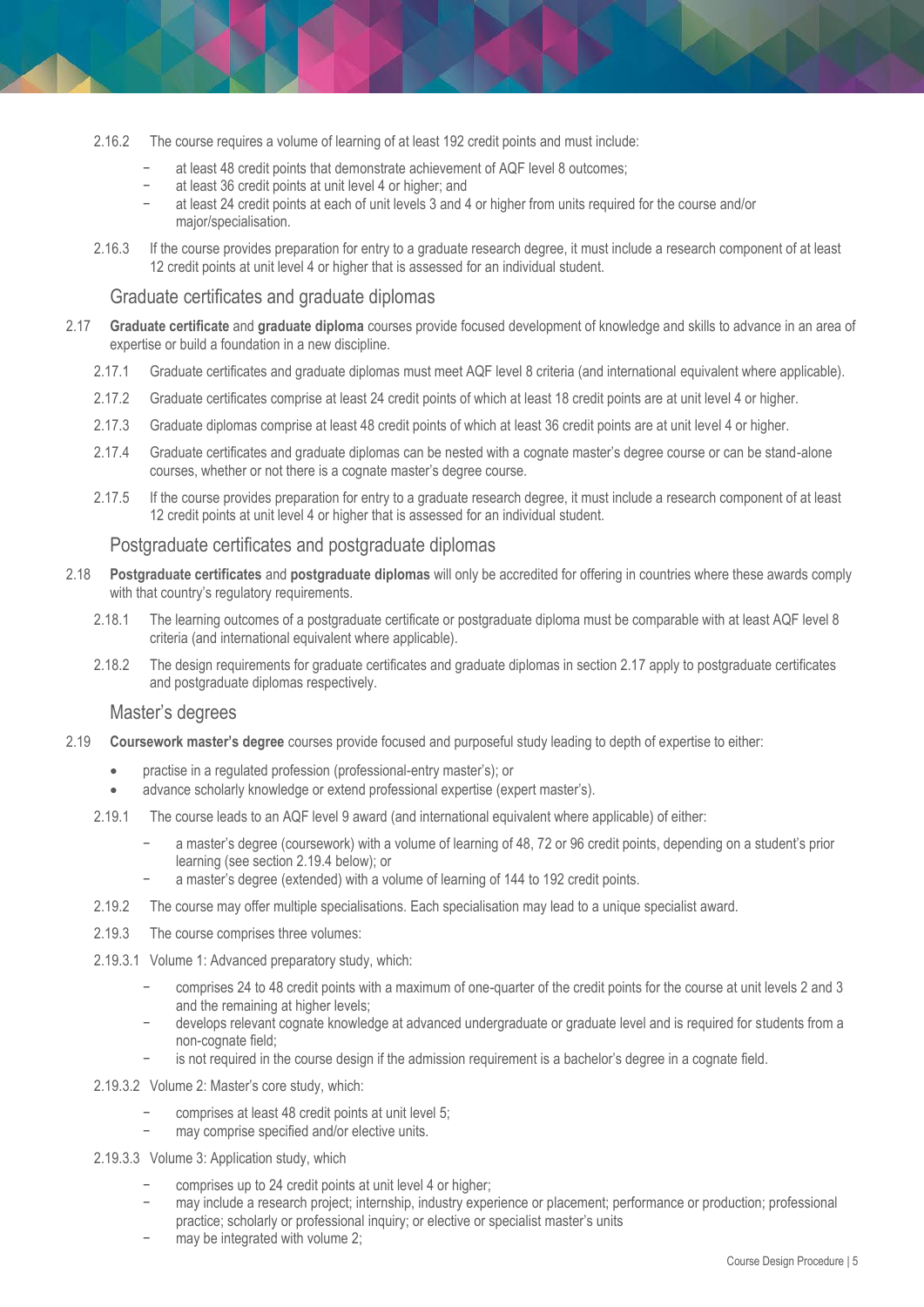- 2.16.2 The course requires a volume of learning of at least 192 credit points and must include:
	- at least 48 credit points that demonstrate achievement of AQF level 8 outcomes;
	- at least 36 credit points at unit level 4 or higher; and
	- − at least 24 credit points at each of unit levels 3 and 4 or higher from units required for the course and/or major/specialisation.
- 2.16.3 If the course provides preparation for entry to a graduate research degree, it must include a research component of at least 12 credit points at unit level 4 or higher that is assessed for an individual student.

#### Graduate certificates and graduate diplomas

- 2.17 **Graduate certificate** and **graduate diploma** courses provide focused development of knowledge and skills to advance in an area of expertise or build a foundation in a new discipline.
	- 2.17.1 Graduate certificates and graduate diplomas must meet AQF level 8 criteria (and international equivalent where applicable).
	- 2.17.2 Graduate certificates comprise at least 24 credit points of which at least 18 credit points are at unit level 4 or higher.
	- 2.17.3 Graduate diplomas comprise at least 48 credit points of which at least 36 credit points are at unit level 4 or higher.
	- 2.17.4 Graduate certificates and graduate diplomas can be nested with a cognate master's degree course or can be stand-alone courses, whether or not there is a cognate master's degree course.
	- 2.17.5 If the course provides preparation for entry to a graduate research degree, it must include a research component of at least 12 credit points at unit level 4 or higher that is assessed for an individual student.

#### Postgraduate certificates and postgraduate diplomas

- 2.18 **Postgraduate certificates** and **postgraduate diplomas** will only be accredited for offering in countries where these awards comply with that country's regulatory requirements.
	- 2.18.1 The learning outcomes of a postgraduate certificate or postgraduate diploma must be comparable with at least AQF level 8 criteria (and international equivalent where applicable).
	- 2.18.2 The design requirements for graduate certificates and graduate diplomas in section 2.17 apply to postgraduate certificates and postgraduate diplomas respectively.

#### Master's degrees

- 2.19 **Coursework master's degree** courses provide focused and purposeful study leading to depth of expertise to either:
	- practise in a regulated profession (professional-entry master's); or
	- advance scholarly knowledge or extend professional expertise (expert master's).
	- 2.19.1 The course leads to an AQF level 9 award (and international equivalent where applicable) of either:
		- − a master's degree (coursework) with a volume of learning of 48, 72 or 96 credit points, depending on a student's prior learning (see section 2.19.4 below); or
		- a master's degree (extended) with a volume of learning of 144 to 192 credit points.
	- 2.19.2 The course may offer multiple specialisations. Each specialisation may lead to a unique specialist award.
	- 2.19.3 The course comprises three volumes:
	- 2.19.3.1 Volume 1: Advanced preparatory study, which:
		- − comprises 24 to 48 credit points with a maximum of one-quarter of the credit points for the course at unit levels 2 and 3 and the remaining at higher levels;
		- develops relevant cognate knowledge at advanced undergraduate or graduate level and is required for students from a non-cognate field;
		- − is not required in the course design if the admission requirement is a bachelor's degree in a cognate field.
	- 2.19.3.2 Volume 2: Master's core study, which:
		- comprises at least 48 credit points at unit level 5;
		- may comprise specified and/or elective units.
	- 2.19.3.3 Volume 3: Application study, which
		- comprises up to 24 credit points at unit level 4 or higher;
		- may include a research project; internship, industry experience or placement; performance or production; professional practice; scholarly or professional inquiry; or elective or specialist master's units
		- may be integrated with volume 2;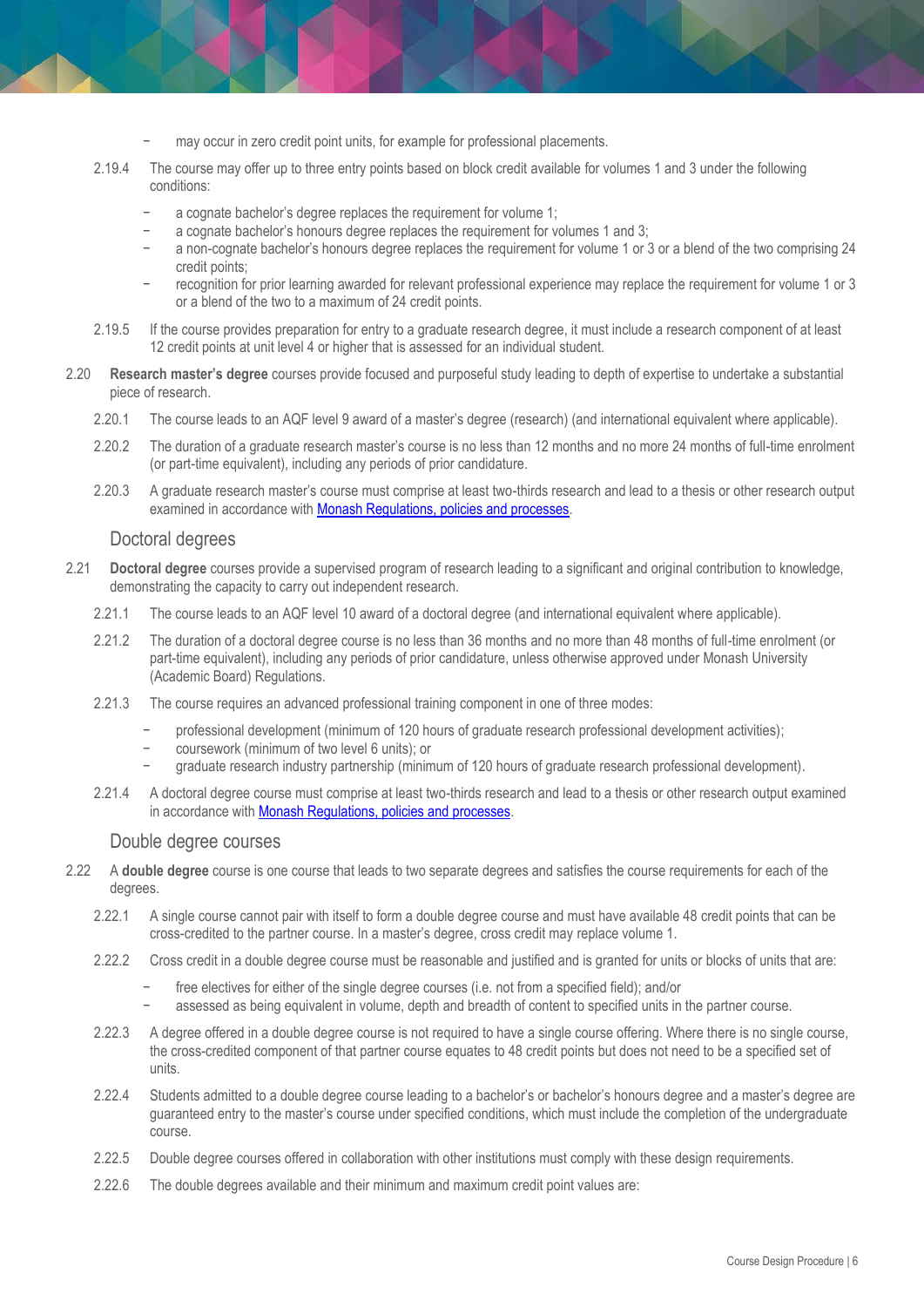- may occur in zero credit point units, for example for professional placements.
- 2.19.4 The course may offer up to three entry points based on block credit available for volumes 1 and 3 under the following conditions:
	- a cognate bachelor's degree replaces the requirement for volume 1;
	- a cognate bachelor's honours degree replaces the requirement for volumes 1 and 3;
	- a non-cognate bachelor's honours degree replaces the requirement for volume 1 or 3 or a blend of the two comprising 24 credit points;
	- − recognition for prior learning awarded for relevant professional experience may replace the requirement for volume 1 or 3 or a blend of the two to a maximum of 24 credit points.
- 2.19.5 If the course provides preparation for entry to a graduate research degree, it must include a research component of at least 12 credit points at unit level 4 or higher that is assessed for an individual student.
- 2.20 **Research master's degree** courses provide focused and purposeful study leading to depth of expertise to undertake a substantial piece of research.
	- 2.20.1 The course leads to an AQF level 9 award of a master's degree (research) (and international equivalent where applicable).
	- 2.20.2 The duration of a graduate research master's course is no less than 12 months and no more 24 months of full-time enrolment (or part-time equivalent), including any periods of prior candidature.
	- 2.20.3 A graduate research master's course must comprise at least two-thirds research and lead to a thesis or other research output examined in accordance wit[h Monash Regulations, policies and processes.](https://www.monash.edu/policy-bank/policies-and-procedures/academic/graduate-education)

#### Doctoral degrees

- 2.21 **Doctoral degree** courses provide a supervised program of research leading to a significant and original contribution to knowledge, demonstrating the capacity to carry out independent research.
	- 2.21.1 The course leads to an AQF level 10 award of a doctoral degree (and international equivalent where applicable).
	- 2.21.2 The duration of a doctoral degree course is no less than 36 months and no more than 48 months of full-time enrolment (or part-time equivalent), including any periods of prior candidature, unless otherwise approved under Monash University (Academic Board) Regulations.
	- 2.21.3 The course requires an advanced professional training component in one of three modes:
		- professional development (minimum of 120 hours of graduate research professional development activities);
		- − coursework (minimum of two level 6 units); or
		- − graduate research industry partnership (minimum of 120 hours of graduate research professional development).
	- 2.21.4 A doctoral degree course must comprise at least two-thirds research and lead to a thesis or other research output examined in accordance wit[h Monash Regulations, policies and processes.](https://www.monash.edu/policy-bank/policies-and-procedures/academic/graduate-education)

#### Double degree courses

- 2.22 A **double degree** course is one course that leads to two separate degrees and satisfies the course requirements for each of the degrees.
	- 2.22.1 A single course cannot pair with itself to form a double degree course and must have available 48 credit points that can be cross-credited to the partner course. In a master's degree, cross credit may replace volume 1.
	- 2.22.2 Cross credit in a double degree course must be reasonable and justified and is granted for units or blocks of units that are:
		- free electives for either of the single degree courses (i.e. not from a specified field); and/or
		- − assessed as being equivalent in volume, depth and breadth of content to specified units in the partner course.
	- 2.22.3 A degree offered in a double degree course is not required to have a single course offering. Where there is no single course, the cross-credited component of that partner course equates to 48 credit points but does not need to be a specified set of units.
	- 2.22.4 Students admitted to a double degree course leading to a bachelor's or bachelor's honours degree and a master's degree are guaranteed entry to the master's course under specified conditions, which must include the completion of the undergraduate course.
	- 2.22.5 Double degree courses offered in collaboration with other institutions must comply with these design requirements.
	- 2.22.6 The double degrees available and their minimum and maximum credit point values are: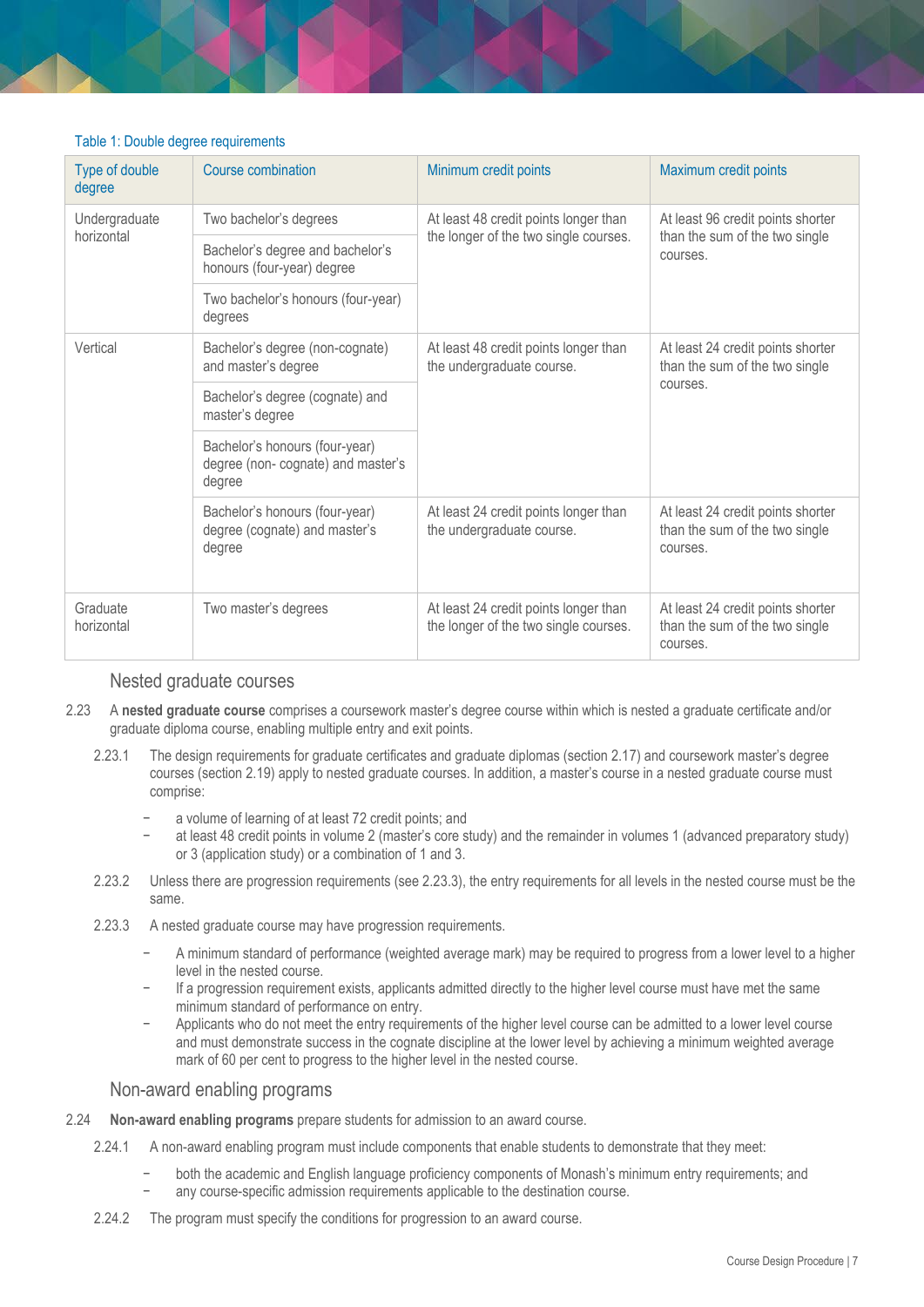#### Table 1: Double degree requirements

| Type of double<br>degree    | Course combination                                                             | Minimum credit points                                                          | Maximum credit points                                                           |
|-----------------------------|--------------------------------------------------------------------------------|--------------------------------------------------------------------------------|---------------------------------------------------------------------------------|
| Undergraduate<br>horizontal | Two bachelor's degrees                                                         | At least 48 credit points longer than<br>the longer of the two single courses. | At least 96 credit points shorter<br>than the sum of the two single<br>courses. |
|                             | Bachelor's degree and bachelor's<br>honours (four-year) degree                 |                                                                                |                                                                                 |
|                             | Two bachelor's honours (four-year)<br>degrees                                  |                                                                                |                                                                                 |
| Vertical                    | Bachelor's degree (non-cognate)<br>and master's degree                         | At least 48 credit points longer than<br>the undergraduate course.             | At least 24 credit points shorter<br>than the sum of the two single<br>courses. |
|                             | Bachelor's degree (cognate) and<br>master's degree                             |                                                                                |                                                                                 |
|                             | Bachelor's honours (four-year)<br>degree (non- cognate) and master's<br>degree |                                                                                |                                                                                 |
|                             | Bachelor's honours (four-year)<br>degree (cognate) and master's<br>degree      | At least 24 credit points longer than<br>the undergraduate course.             | At least 24 credit points shorter<br>than the sum of the two single<br>courses. |
| Graduate<br>horizontal      | Two master's degrees                                                           | At least 24 credit points longer than<br>the longer of the two single courses. | At least 24 credit points shorter<br>than the sum of the two single<br>courses. |

#### Nested graduate courses

- 2.23 A **nested graduate course** comprises a coursework master's degree course within which is nested a graduate certificate and/or graduate diploma course, enabling multiple entry and exit points.
	- 2.23.1 The design requirements for graduate certificates and graduate diplomas (section 2.17) and coursework master's degree courses (section 2.19) apply to nested graduate courses. In addition, a master's course in a nested graduate course must comprise:
		- a volume of learning of at least 72 credit points; and
		- − at least 48 credit points in volume 2 (master's core study) and the remainder in volumes 1 (advanced preparatory study) or 3 (application study) or a combination of 1 and 3.
	- 2.23.2 Unless there are progression requirements (see 2.23.3), the entry requirements for all levels in the nested course must be the same.
	- 2.23.3 A nested graduate course may have progression requirements.
		- − A minimum standard of performance (weighted average mark) may be required to progress from a lower level to a higher level in the nested course.
		- − If a progression requirement exists, applicants admitted directly to the higher level course must have met the same minimum standard of performance on entry.
		- − Applicants who do not meet the entry requirements of the higher level course can be admitted to a lower level course and must demonstrate success in the cognate discipline at the lower level by achieving a minimum weighted average mark of 60 per cent to progress to the higher level in the nested course.

#### Non-award enabling programs

- 2.24 **Non-award enabling programs** prepare students for admission to an award course.
	- 2.24.1 A non-award enabling program must include components that enable students to demonstrate that they meet:
		- − both the academic and English language proficiency components of Monash's minimum entry requirements; and any course-specific admission requirements applicable to the destination course.
	- 2.24.2 The program must specify the conditions for progression to an award course.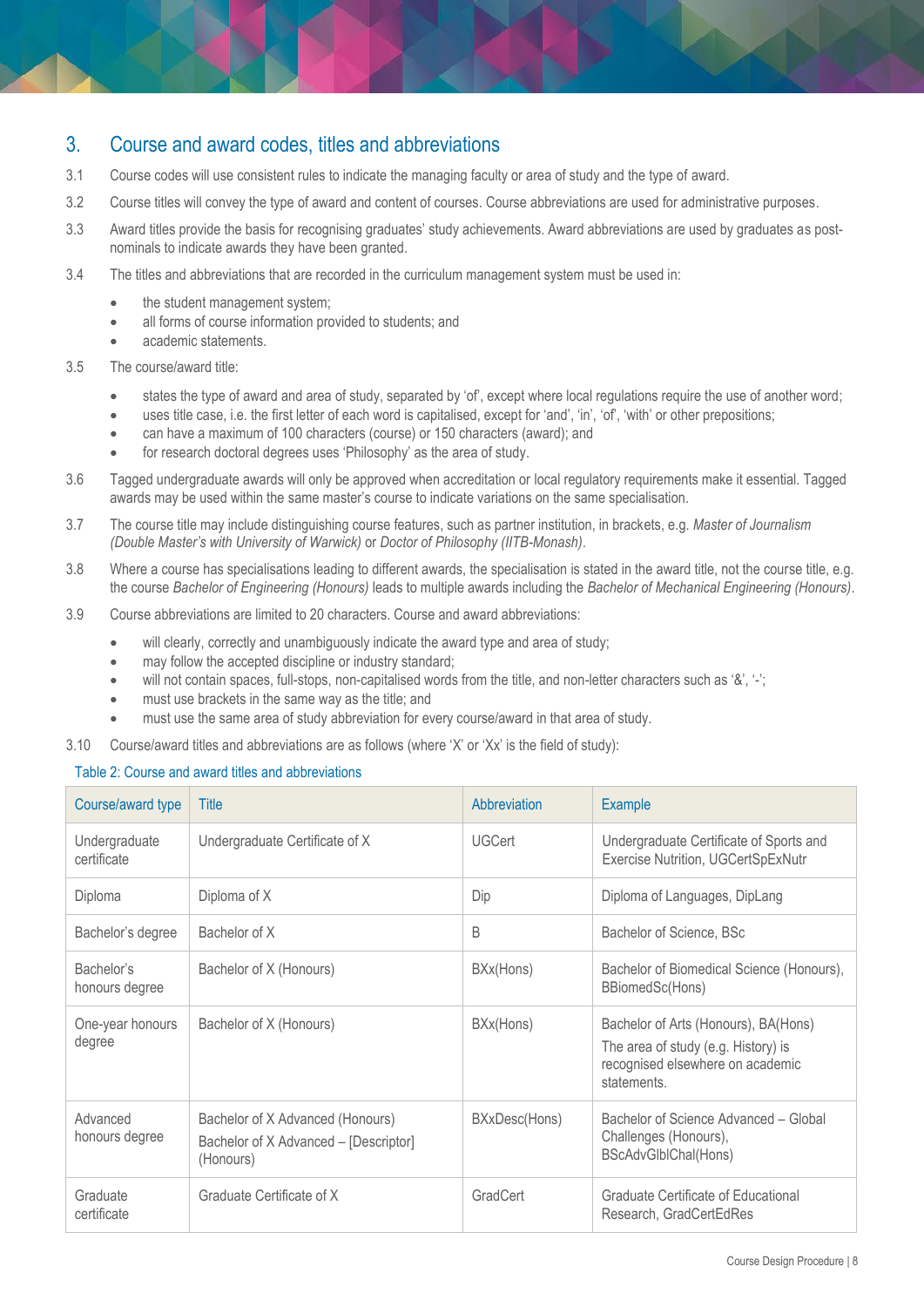## 3. Course and award codes, titles and abbreviations

- 3.1 Course codes will use consistent rules to indicate the managing faculty or area of study and the type of award.
- 3.2 Course titles will convey the type of award and content of courses. Course abbreviations are used for administrative purposes.
- 3.3 Award titles provide the basis for recognising graduates' study achievements. Award abbreviations are used by graduates as postnominals to indicate awards they have been granted.
- 3.4 The titles and abbreviations that are recorded in the curriculum management system must be used in:
	- the student management system;
	- all forms of course information provided to students; and
	- academic statements.
- 3.5 The course/award title:
	- states the type of award and area of study, separated by 'of', except where local regulations require the use of another word;
	- uses title case, i.e. the first letter of each word is capitalised, except for 'and', 'in', 'of', 'with' or other prepositions;
	- can have a maximum of 100 characters (course) or 150 characters (award); and
	- for research doctoral degrees uses 'Philosophy' as the area of study.
- 3.6 Tagged undergraduate awards will only be approved when accreditation or local regulatory requirements make it essential. Tagged awards may be used within the same master's course to indicate variations on the same specialisation.
- 3.7 The course title may include distinguishing course features, such as partner institution, in brackets, e.g. *Master of Journalism (Double Master's with University of Warwick)* or *Doctor of Philosophy (IITB-Monash)*.
- 3.8 Where a course has specialisations leading to different awards, the specialisation is stated in the award title, not the course title, e.g. the course *Bachelor of Engineering (Honours)* leads to multiple awards including the *Bachelor of Mechanical Engineering (Honours)*.
- 3.9 Course abbreviations are limited to 20 characters. Course and award abbreviations:
	- will clearly, correctly and unambiguously indicate the award type and area of study;
	- may follow the accepted discipline or industry standard;
	- will not contain spaces, full-stops, non-capitalised words from the title, and non-letter characters such as '&', '-';
	- must use brackets in the same way as the title; and
	- must use the same area of study abbreviation for every course/award in that area of study.
- 3.10 Course/award titles and abbreviations are as follows (where 'X' or 'Xx' is the field of study):

#### Table 2: Course and award titles and abbreviations

| Course/award type            | Title                                                                                  | Abbreviation    | <b>Example</b>                                                                                                                 |
|------------------------------|----------------------------------------------------------------------------------------|-----------------|--------------------------------------------------------------------------------------------------------------------------------|
| Undergraduate<br>certificate | Undergraduate Certificate of X                                                         | <b>UGCert</b>   | Undergraduate Certificate of Sports and<br>Exercise Nutrition, UGCertSpExNutr                                                  |
| Diploma                      | Diploma of X                                                                           | Dip             | Diploma of Languages, DipLang                                                                                                  |
| Bachelor's degree            | Bachelor of X                                                                          | B               | Bachelor of Science, BSc                                                                                                       |
| Bachelor's<br>honours degree | Bachelor of X (Honours)                                                                | BXx(Hons)       | Bachelor of Biomedical Science (Honours),<br>BBiomedSc(Hons)                                                                   |
| One-year honours<br>degree   | Bachelor of X (Honours)                                                                | BXx(Hons)       | Bachelor of Arts (Honours), BA(Hons)<br>The area of study (e.g. History) is<br>recognised elsewhere on academic<br>statements. |
| Advanced<br>honours degree   | Bachelor of X Advanced (Honours)<br>Bachelor of X Advanced - [Descriptor]<br>(Honours) | BXxDesc(Hons)   | Bachelor of Science Advanced - Global<br>Challenges (Honours),<br>BScAdvGlblChal(Hons)                                         |
| Graduate<br>certificate      | Graduate Certificate of X                                                              | <b>GradCert</b> | Graduate Certificate of Educational<br>Research, GradCertEdRes                                                                 |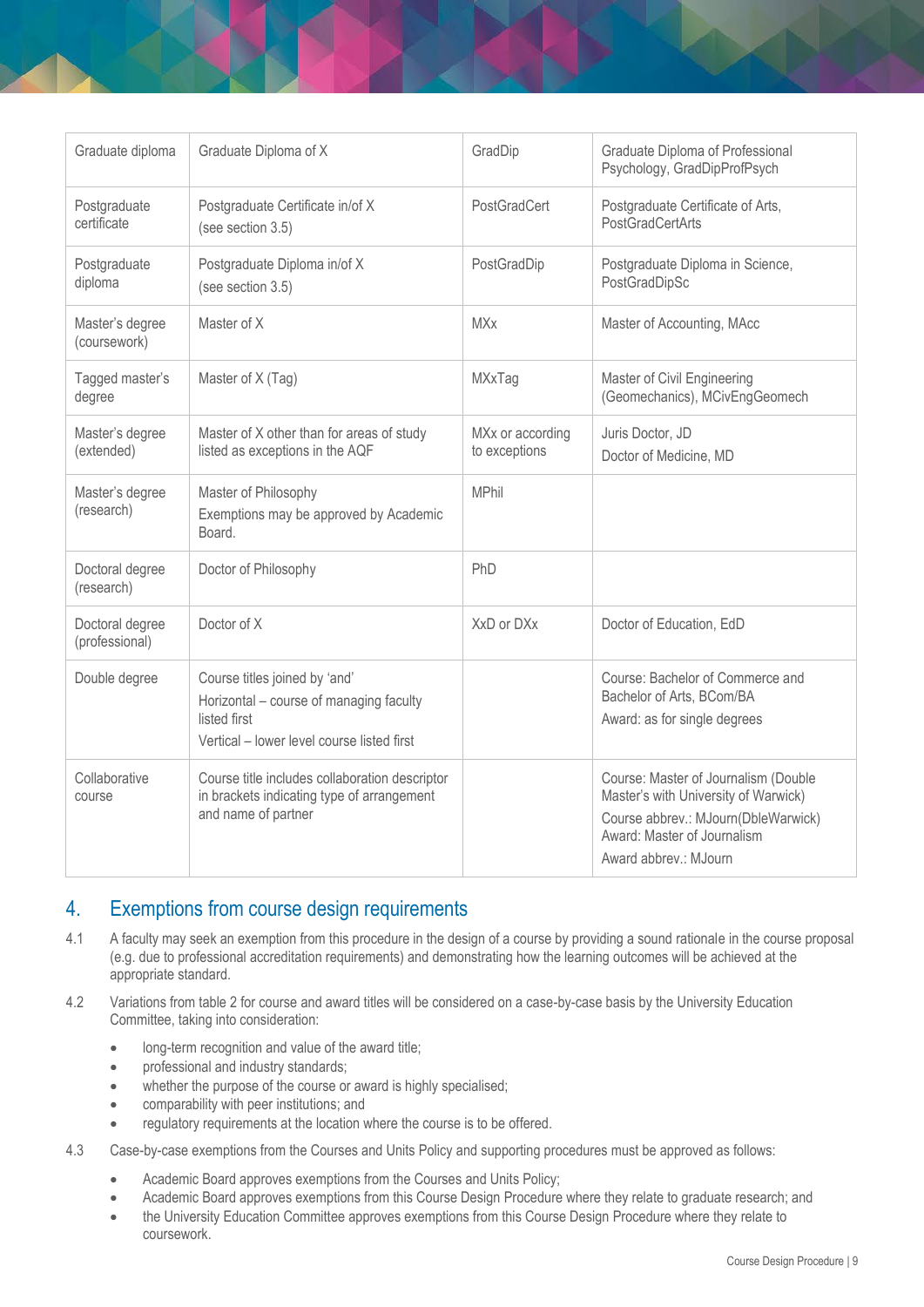| Graduate diploma                  | Graduate Diploma of X                                                                                                                  | GradDip                           | Graduate Diploma of Professional<br>Psychology, GradDipProfPsych                                                                                                            |
|-----------------------------------|----------------------------------------------------------------------------------------------------------------------------------------|-----------------------------------|-----------------------------------------------------------------------------------------------------------------------------------------------------------------------------|
| Postgraduate<br>certificate       | Postgraduate Certificate in/of X<br>(see section 3.5)                                                                                  | PostGradCert                      | Postgraduate Certificate of Arts,<br><b>PostGradCertArts</b>                                                                                                                |
| Postgraduate<br>diploma           | Postgraduate Diploma in/of X<br>(see section 3.5)                                                                                      | PostGradDip                       | Postgraduate Diploma in Science,<br>PostGradDipSc                                                                                                                           |
| Master's degree<br>(coursework)   | Master of X                                                                                                                            | <b>MXx</b>                        | Master of Accounting, MAcc                                                                                                                                                  |
| Tagged master's<br>degree         | Master of X (Tag)                                                                                                                      | MXxTag                            | Master of Civil Engineering<br>(Geomechanics), MCivEngGeomech                                                                                                               |
| Master's degree<br>(extended)     | Master of X other than for areas of study<br>listed as exceptions in the AQF                                                           | MXx or according<br>to exceptions | Juris Doctor, JD<br>Doctor of Medicine, MD                                                                                                                                  |
| Master's degree<br>(research)     | Master of Philosophy<br>Exemptions may be approved by Academic<br>Board.                                                               | <b>MPhil</b>                      |                                                                                                                                                                             |
| Doctoral degree<br>(research)     | Doctor of Philosophy                                                                                                                   | PhD                               |                                                                                                                                                                             |
| Doctoral degree<br>(professional) | Doctor of X                                                                                                                            | XxD or DXx                        | Doctor of Education, EdD                                                                                                                                                    |
| Double degree                     | Course titles joined by 'and'<br>Horizontal - course of managing faculty<br>listed first<br>Vertical - lower level course listed first |                                   | Course: Bachelor of Commerce and<br>Bachelor of Arts, BCom/BA<br>Award: as for single degrees                                                                               |
| Collaborative<br>course           | Course title includes collaboration descriptor<br>in brackets indicating type of arrangement<br>and name of partner                    |                                   | Course: Master of Journalism (Double<br>Master's with University of Warwick)<br>Course abbrev.: MJourn(DbleWarwick)<br>Award: Master of Journalism<br>Award abbrev.: MJourn |

## 4. Exemptions from course design requirements

- 4.1 A faculty may seek an exemption from this procedure in the design of a course by providing a sound rationale in the course proposal (e.g. due to professional accreditation requirements) and demonstrating how the learning outcomes will be achieved at the appropriate standard.
- 4.2 Variations from table 2 for course and award titles will be considered on a case-by-case basis by the University Education Committee, taking into consideration:
	- **.** long-term recognition and value of the award title;
	- professional and industry standards;
	- whether the purpose of the course or award is highly specialised;
	- comparability with peer institutions; and
	- regulatory requirements at the location where the course is to be offered.
- 4.3 Case-by-case exemptions from the Courses and Units Policy and supporting procedures must be approved as follows:
	- Academic Board approves exemptions from the Courses and Units Policy;
	- Academic Board approves exemptions from this Course Design Procedure where they relate to graduate research; and
	- the University Education Committee approves exemptions from this Course Design Procedure where they relate to coursework.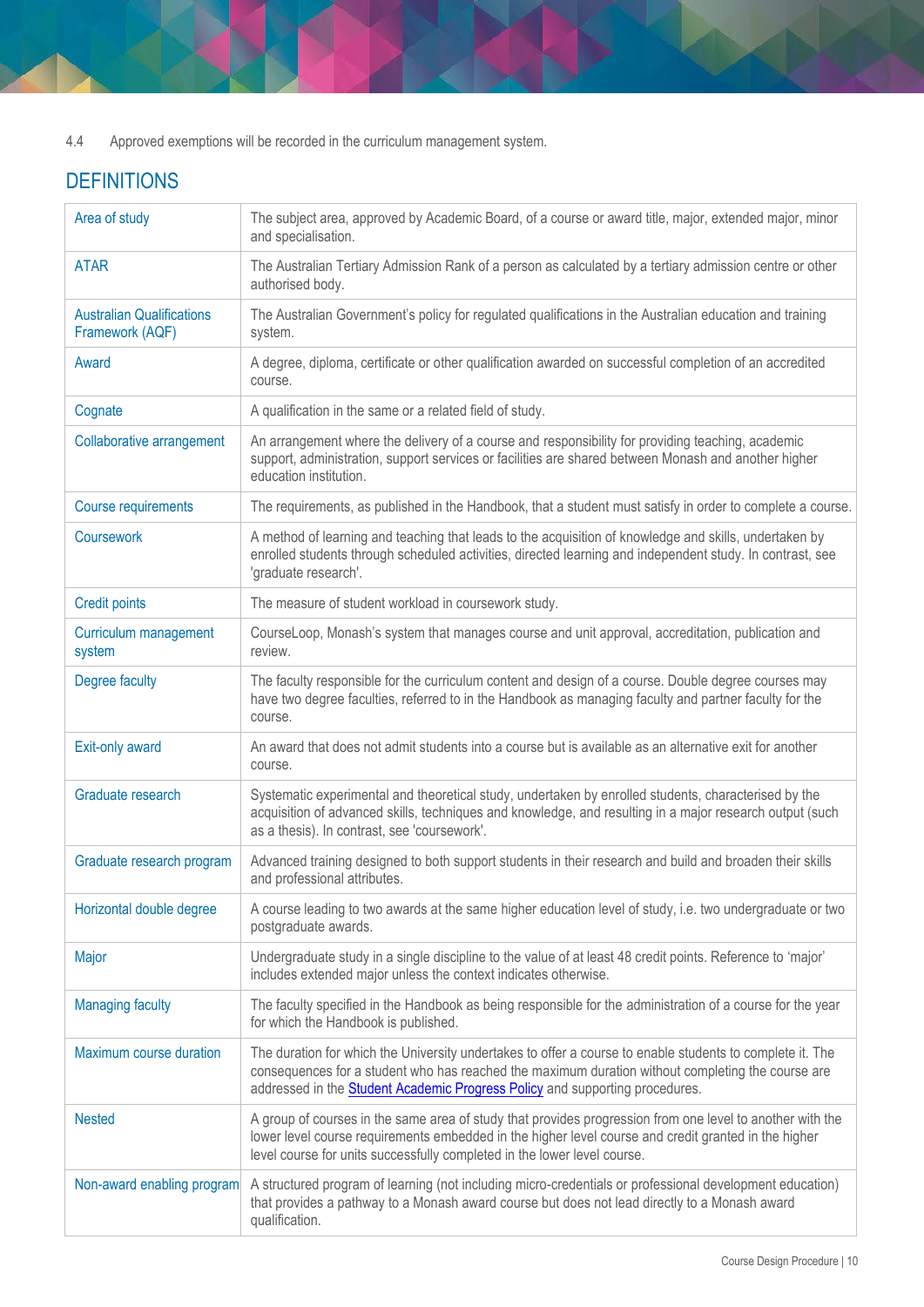4.4 Approved exemptions will be recorded in the curriculum management system.

# **DEFINITIONS**

| Area of study                                       | The subject area, approved by Academic Board, of a course or award title, major, extended major, minor<br>and specialisation.                                                                                                                                                                         |
|-----------------------------------------------------|-------------------------------------------------------------------------------------------------------------------------------------------------------------------------------------------------------------------------------------------------------------------------------------------------------|
| <b>ATAR</b>                                         | The Australian Tertiary Admission Rank of a person as calculated by a tertiary admission centre or other<br>authorised body.                                                                                                                                                                          |
| <b>Australian Qualifications</b><br>Framework (AQF) | The Australian Government's policy for regulated qualifications in the Australian education and training<br>system.                                                                                                                                                                                   |
| Award                                               | A degree, diploma, certificate or other qualification awarded on successful completion of an accredited<br>course.                                                                                                                                                                                    |
| Cognate                                             | A qualification in the same or a related field of study.                                                                                                                                                                                                                                              |
| <b>Collaborative arrangement</b>                    | An arrangement where the delivery of a course and responsibility for providing teaching, academic<br>support, administration, support services or facilities are shared between Monash and another higher<br>education institution.                                                                   |
| <b>Course requirements</b>                          | The requirements, as published in the Handbook, that a student must satisfy in order to complete a course.                                                                                                                                                                                            |
| <b>Coursework</b>                                   | A method of learning and teaching that leads to the acquisition of knowledge and skills, undertaken by<br>enrolled students through scheduled activities, directed learning and independent study. In contrast, see<br>'graduate research'.                                                           |
| <b>Credit points</b>                                | The measure of student workload in coursework study.                                                                                                                                                                                                                                                  |
| Curriculum management<br>system                     | CourseLoop, Monash's system that manages course and unit approval, accreditation, publication and<br>review.                                                                                                                                                                                          |
| Degree faculty                                      | The faculty responsible for the curriculum content and design of a course. Double degree courses may<br>have two degree faculties, referred to in the Handbook as managing faculty and partner faculty for the<br>course.                                                                             |
| Exit-only award                                     | An award that does not admit students into a course but is available as an alternative exit for another<br>course.                                                                                                                                                                                    |
| Graduate research                                   | Systematic experimental and theoretical study, undertaken by enrolled students, characterised by the<br>acquisition of advanced skills, techniques and knowledge, and resulting in a major research output (such<br>as a thesis). In contrast, see 'coursework'.                                      |
| Graduate research program                           | Advanced training designed to both support students in their research and build and broaden their skills<br>and professional attributes.                                                                                                                                                              |
| Horizontal double degree                            | A course leading to two awards at the same higher education level of study, i.e. two undergraduate or two<br>postgraduate awards.                                                                                                                                                                     |
| Major                                               | Undergraduate study in a single discipline to the value of at least 48 credit points. Reference to 'major'<br>includes extended major unless the context indicates otherwise.                                                                                                                         |
| <b>Managing faculty</b>                             | The faculty specified in the Handbook as being responsible for the administration of a course for the year<br>for which the Handbook is published.                                                                                                                                                    |
| Maximum course duration                             | The duration for which the University undertakes to offer a course to enable students to complete it. The<br>consequences for a student who has reached the maximum duration without completing the course are<br>addressed in the <b>Student Academic Progress Policy</b> and supporting procedures. |
| <b>Nested</b>                                       | A group of courses in the same area of study that provides progression from one level to another with the<br>lower level course requirements embedded in the higher level course and credit granted in the higher<br>level course for units successfully completed in the lower level course.         |
| Non-award enabling program                          | A structured program of learning (not including micro-credentials or professional development education)<br>that provides a pathway to a Monash award course but does not lead directly to a Monash award<br>qualification.                                                                           |